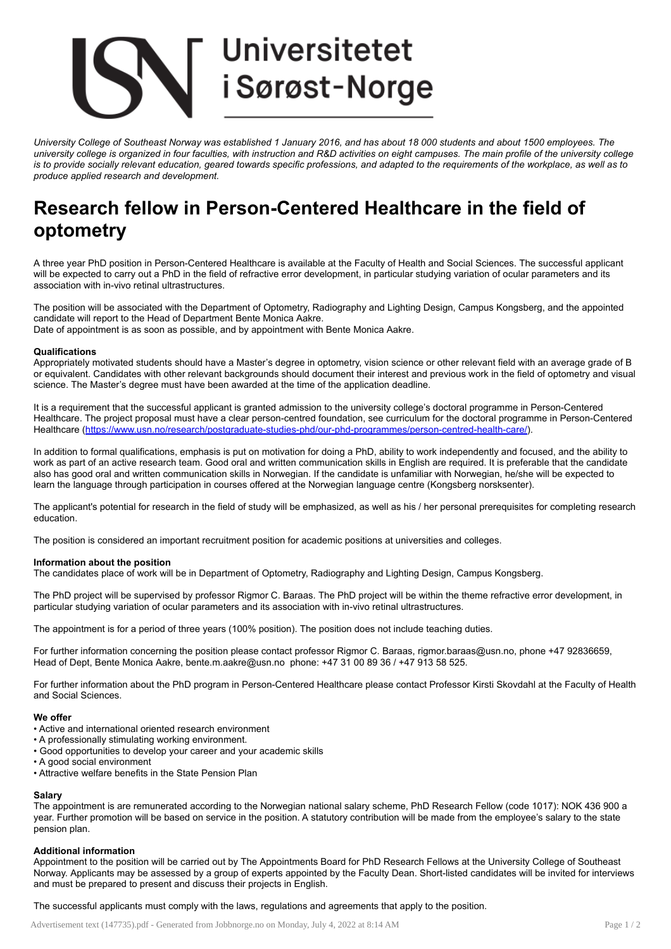# **Universitetet** i Sørøst-Norge

University College of Southeast Norway was established 1 January 2016, and has about 18 000 students and about 1500 employees. The university college is organized in four faculties, with instruction and R&D activities on eight campuses. The main profile of the university college is to provide socially relevant education, geared towards specific professions, and adapted to the requirements of the workplace, as well as to *produce applied research and development.*

## Research fellow in Person-Centered Healthcare in the field of optometry

A three year PhD position in Person-Centered Healthcare is available at the Faculty of Health and Social Sciences. The successful applicant will be expected to carry out a PhD in the field of refractive error development, in particular studying variation of ocular parameters and its association with in-vivo retinal ultrastructures.

The position will be associated with the Department of Optometry, Radiography and Lighting Design, Campus Kongsberg, and the appointed candidate will report to the Head of Department Bente Monica Aakre. Date of appointment is as soon as possible, and by appointment with Bente Monica Aakre.

#### **Qualifications**

Appropriately motivated students should have a Master's degree in optometry, vision science or other relevant field with an average grade of B or equivalent. Candidates with other relevant backgrounds should document their interest and previous work in the field of optometry and visual science. The Master's degree must have been awarded at the time of the application deadline.

It is a requirement that the successful applicant is granted admission to the university college's doctoral programme in Person-Centered Healthcare. The project proposal must have a clear person-centred foundation, see curriculum for the doctoral programme in Person-Centered Healthcare ([https://www.usn.no/research/postgraduate-studies-phd/our-phd-programmes/person-centred-health-care/\)](https://www.usn.no/research/postgraduate-studies-phd/our-phd-programmes/person-centred-health-care/).

In addition to formal qualifications, emphasis is put on motivation for doing a PhD, ability to work independently and focused, and the ability to work as part of an active research team. Good oral and written communication skills in English are required. It is preferable that the candidate also has good oral and written communication skills in Norwegian. If the candidate is unfamiliar with Norwegian, he/she will be expected to learn the language through participation in courses offered at the Norwegian language centre (Kongsberg norsksenter).

The applicant's potential for research in the field of study will be emphasized, as well as his / her personal prerequisites for completing research education.

The position is considered an important recruitment position for academic positions at universities and colleges.

#### Information about the position

The candidates place of work will be in Department of Optometry, Radiography and Lighting Design, Campus Kongsberg.

The PhD project will be supervised by professor Rigmor C. Baraas. The PhD project will be within the theme refractive error development, in particular studying variation of ocular parameters and its association with in-vivo retinal ultrastructures.

The appointment is for a period of three years (100% position). The position does not include teaching duties.

For further information concerning the position please contact professor Rigmor C. Baraas, rigmor.baraas@usn.no, phone +47 92836659, Head of Dept, Bente Monica Aakre, bente.m.aakre@usn.no phone: +47 31 00 89 36 / +47 913 58 525.

For further information about the PhD program in Person-Centered Healthcare please contact Professor Kirsti Skovdahl at the Faculty of Health and Social Sciences.

#### We offer

- Active and international oriented research environment
- A professionally stimulating working environment.
- Good opportunities to develop your career and your academic skills
- A good social environment
- Attractive welfare benefits in the State Pension Plan

### Salary

The appointment is are remunerated according to the Norwegian national salary scheme, PhD Research Fellow (code 1017): NOK 436 900 a year. Further promotion will be based on service in the position. A statutory contribution will be made from the employee's salary to the state pension plan.

#### Additional information

Appointment to the position will be carried out by The Appointments Board for PhD Research Fellows at the University College of Southeast Norway. Applicants may be assessed by a group of experts appointed by the Faculty Dean. Short-listed candidates will be invited for interviews and must be prepared to present and discuss their projects in English.

The successful applicants must comply with the laws, regulations and agreements that apply to the position.